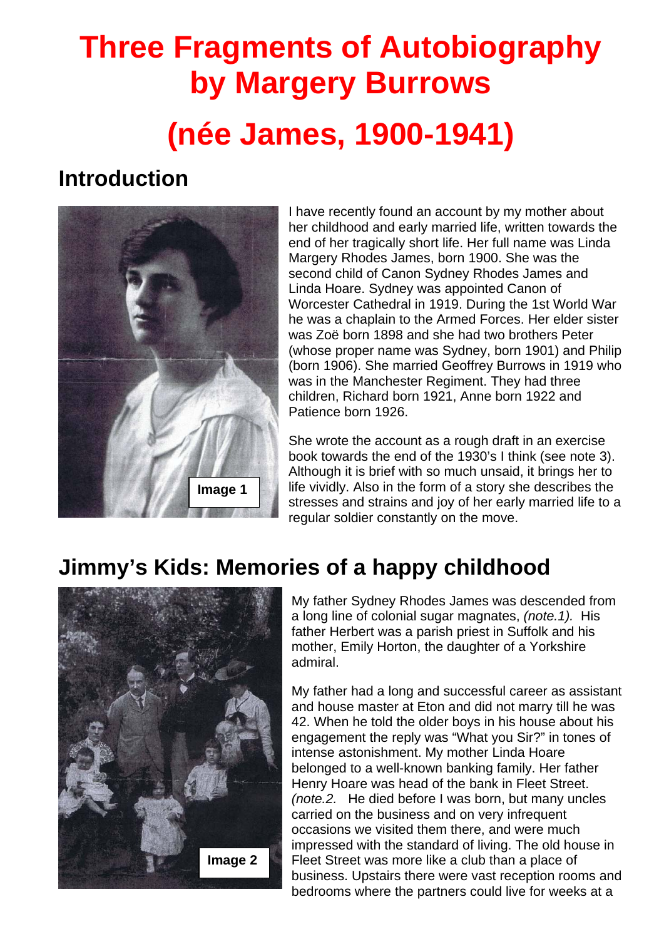# **Three Fragments of Autobiography by Margery Burrows (née James, 1900-1941)**

### **Introduction**



I have recently found an account by my mother about her childhood and early married life, written towards the end of her tragically short life. Her full name was Linda Margery Rhodes James, born 1900. She was the second child of Canon Sydney Rhodes James and Linda Hoare. Sydney was appointed Canon of Worcester Cathedral in 1919. During the 1st World War he was a chaplain to the Armed Forces. Her elder sister was Zoë born 1898 and she had two brothers Peter (whose proper name was Sydney, born 1901) and Philip (born 1906). She married Geoffrey Burrows in 1919 who was in the Manchester Regiment. They had three children, Richard born 1921, Anne born 1922 and Patience born 1926.

She wrote the account as a rough draft in an exercise book towards the end of the 1930's I think (see note 3). Although it is brief with so much unsaid, it brings her to life vividly. Also in the form of a story she describes the stresses and strains and joy of her early married life to a regular soldier constantly on the move.

# **Jimmy's Kids: Memories of a happy childhood**



My father Sydney Rhodes James was descended from a long line of colonial sugar magnates, *(note.1).* His father Herbert was a parish priest in Suffolk and his mother, Emily Horton, the daughter of a Yorkshire admiral.

My father had a long and successful career as assistant and house master at Eton and did not marry till he was 42. When he told the older boys in his house about his engagement the reply was "What you Sir?" in tones of intense astonishment. My mother Linda Hoare belonged to a well-known banking family. Her father Henry Hoare was head of the bank in Fleet Street. *(note.2.* He died before I was born, but many uncles carried on the business and on very infrequent occasions we visited them there, and were much impressed with the standard of living. The old house in Fleet Street was more like a club than a place of business. Upstairs there were vast reception rooms and bedrooms where the partners could live for weeks at a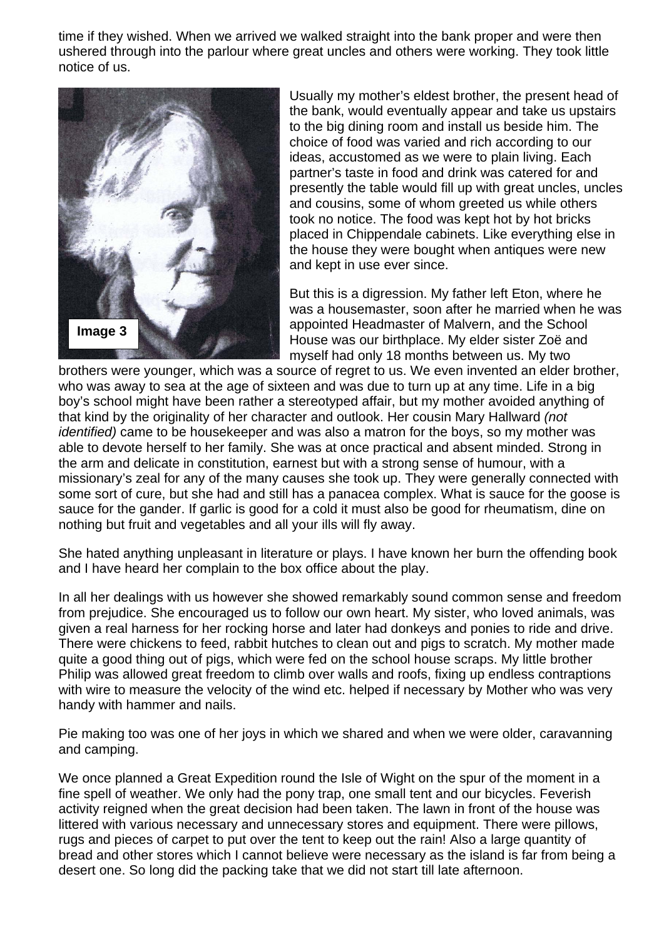time if they wished. When we arrived we walked straight into the bank proper and were then ushered through into the parlour where great uncles and others were working. They took little notice of us.



Usually my mother's eldest brother, the present head of the bank, would eventually appear and take us upstairs to the big dining room and install us beside him. The choice of food was varied and rich according to our ideas, accustomed as we were to plain living. Each partner's taste in food and drink was catered for and presently the table would fill up with great uncles, uncles and cousins, some of whom greeted us while others took no notice. The food was kept hot by hot bricks placed in Chippendale cabinets. Like everything else in the house they were bought when antiques were new and kept in use ever since.

But this is a digression. My father left Eton, where he was a housemaster, soon after he married when he was appointed Headmaster of Malvern, and the School House was our birthplace. My elder sister Zoë and myself had only 18 months between us. My two

brothers were younger, which was a source of regret to us. We even invented an elder brother, who was away to sea at the age of sixteen and was due to turn up at any time. Life in a big boy's school might have been rather a stereotyped affair, but my mother avoided anything of that kind by the originality of her character and outlook. Her cousin Mary Hallward *(not identified)* came to be housekeeper and was also a matron for the boys, so my mother was able to devote herself to her family. She was at once practical and absent minded. Strong in the arm and delicate in constitution, earnest but with a strong sense of humour, with a missionary's zeal for any of the many causes she took up. They were generally connected with some sort of cure, but she had and still has a panacea complex. What is sauce for the goose is sauce for the gander. If garlic is good for a cold it must also be good for rheumatism, dine on nothing but fruit and vegetables and all your ills will fly away.

She hated anything unpleasant in literature or plays. I have known her burn the offending book and I have heard her complain to the box office about the play.

In all her dealings with us however she showed remarkably sound common sense and freedom from prejudice. She encouraged us to follow our own heart. My sister, who loved animals, was given a real harness for her rocking horse and later had donkeys and ponies to ride and drive. There were chickens to feed, rabbit hutches to clean out and pigs to scratch. My mother made quite a good thing out of pigs, which were fed on the school house scraps. My little brother Philip was allowed great freedom to climb over walls and roofs, fixing up endless contraptions with wire to measure the velocity of the wind etc. helped if necessary by Mother who was very handy with hammer and nails.

Pie making too was one of her joys in which we shared and when we were older, caravanning and camping.

We once planned a Great Expedition round the Isle of Wight on the spur of the moment in a fine spell of weather. We only had the pony trap, one small tent and our bicycles. Feverish activity reigned when the great decision had been taken. The lawn in front of the house was littered with various necessary and unnecessary stores and equipment. There were pillows, rugs and pieces of carpet to put over the tent to keep out the rain! Also a large quantity of bread and other stores which I cannot believe were necessary as the island is far from being a desert one. So long did the packing take that we did not start till late afternoon.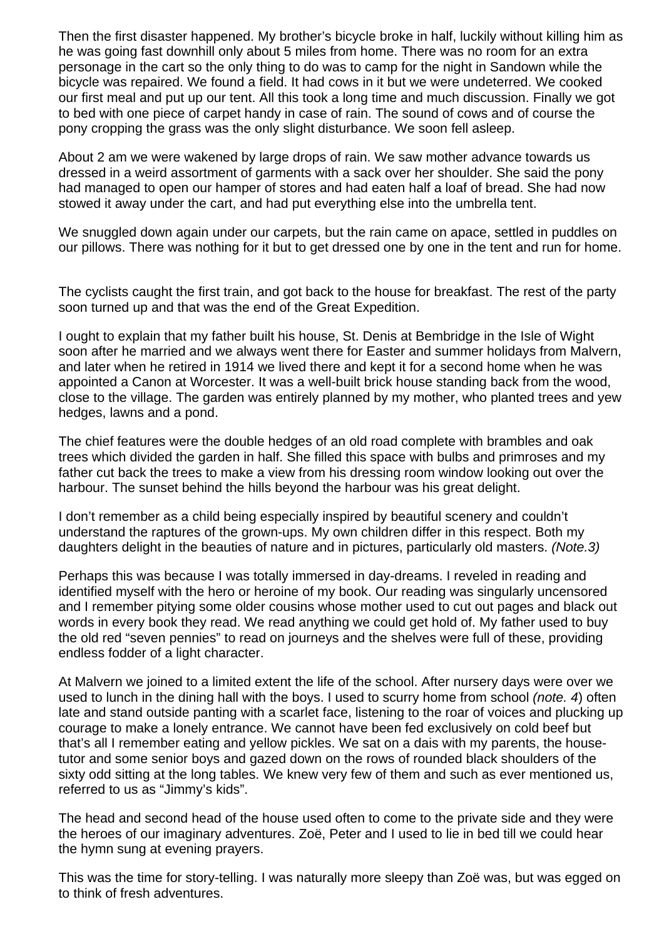Then the first disaster happened. My brother's bicycle broke in half, luckily without killing him as he was going fast downhill only about 5 miles from home. There was no room for an extra personage in the cart so the only thing to do was to camp for the night in Sandown while the bicycle was repaired. We found a field. It had cows in it but we were undeterred. We cooked our first meal and put up our tent. All this took a long time and much discussion. Finally we got to bed with one piece of carpet handy in case of rain. The sound of cows and of course the pony cropping the grass was the only slight disturbance. We soon fell asleep.

About 2 am we were wakened by large drops of rain. We saw mother advance towards us dressed in a weird assortment of garments with a sack over her shoulder. She said the pony had managed to open our hamper of stores and had eaten half a loaf of bread. She had now stowed it away under the cart, and had put everything else into the umbrella tent.

We snuggled down again under our carpets, but the rain came on apace, settled in puddles on our pillows. There was nothing for it but to get dressed one by one in the tent and run for home.

The cyclists caught the first train, and got back to the house for breakfast. The rest of the party soon turned up and that was the end of the Great Expedition.

I ought to explain that my father built his house, St. Denis at Bembridge in the Isle of Wight soon after he married and we always went there for Easter and summer holidays from Malvern, and later when he retired in 1914 we lived there and kept it for a second home when he was appointed a Canon at Worcester. It was a well-built brick house standing back from the wood, close to the village. The garden was entirely planned by my mother, who planted trees and yew hedges, lawns and a pond.

The chief features were the double hedges of an old road complete with brambles and oak trees which divided the garden in half. She filled this space with bulbs and primroses and my father cut back the trees to make a view from his dressing room window looking out over the harbour. The sunset behind the hills beyond the harbour was his great delight.

I don't remember as a child being especially inspired by beautiful scenery and couldn't understand the raptures of the grown-ups. My own children differ in this respect. Both my daughters delight in the beauties of nature and in pictures, particularly old masters. *(Note.3)* 

Perhaps this was because I was totally immersed in day-dreams. I reveled in reading and identified myself with the hero or heroine of my book. Our reading was singularly uncensored and I remember pitying some older cousins whose mother used to cut out pages and black out words in every book they read. We read anything we could get hold of. My father used to buy the old red "seven pennies" to read on journeys and the shelves were full of these, providing endless fodder of a light character.

At Malvern we joined to a limited extent the life of the school. After nursery days were over we used to lunch in the dining hall with the boys. I used to scurry home from school *(note. 4*) often late and stand outside panting with a scarlet face, listening to the roar of voices and plucking up courage to make a lonely entrance. We cannot have been fed exclusively on cold beef but that's all I remember eating and yellow pickles. We sat on a dais with my parents, the housetutor and some senior boys and gazed down on the rows of rounded black shoulders of the sixty odd sitting at the long tables. We knew very few of them and such as ever mentioned us, referred to us as "Jimmy's kids".

The head and second head of the house used often to come to the private side and they were the heroes of our imaginary adventures. Zoë, Peter and I used to lie in bed till we could hear the hymn sung at evening prayers.

This was the time for story-telling. I was naturally more sleepy than Zoë was, but was egged on to think of fresh adventures.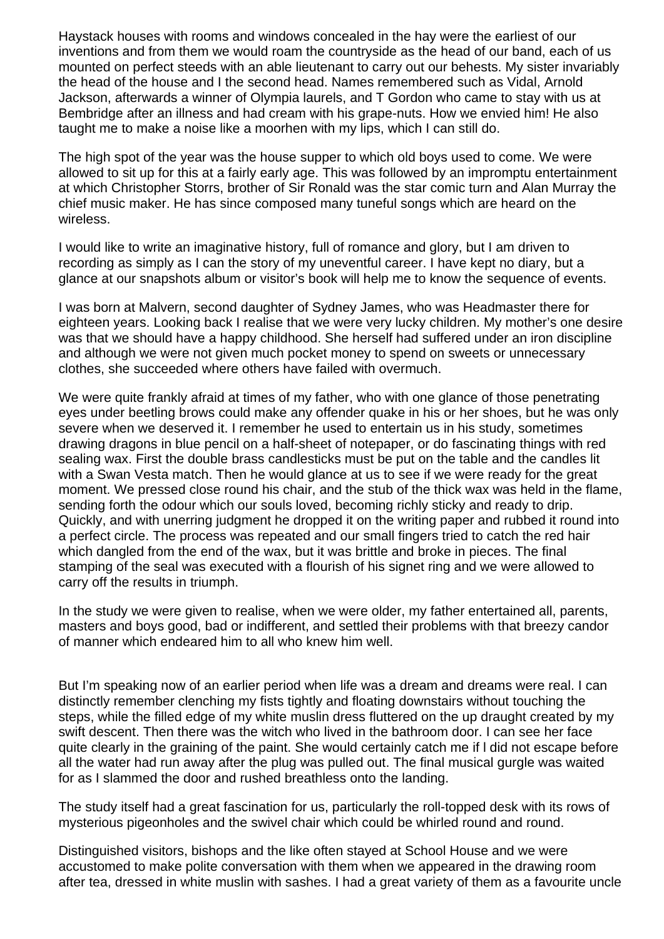Haystack houses with rooms and windows concealed in the hay were the earliest of our inventions and from them we would roam the countryside as the head of our band, each of us mounted on perfect steeds with an able lieutenant to carry out our behests. My sister invariably the head of the house and I the second head. Names remembered such as Vidal, Arnold Jackson, afterwards a winner of Olympia laurels, and T Gordon who came to stay with us at Bembridge after an illness and had cream with his grape-nuts. How we envied him! He also taught me to make a noise like a moorhen with my lips, which I can still do.

The high spot of the year was the house supper to which old boys used to come. We were allowed to sit up for this at a fairly early age. This was followed by an impromptu entertainment at which Christopher Storrs, brother of Sir Ronald was the star comic turn and Alan Murray the chief music maker. He has since composed many tuneful songs which are heard on the wireless.

I would like to write an imaginative history, full of romance and glory, but I am driven to recording as simply as I can the story of my uneventful career. I have kept no diary, but a glance at our snapshots album or visitor's book will help me to know the sequence of events.

I was born at Malvern, second daughter of Sydney James, who was Headmaster there for eighteen years. Looking back I realise that we were very lucky children. My mother's one desire was that we should have a happy childhood. She herself had suffered under an iron discipline and although we were not given much pocket money to spend on sweets or unnecessary clothes, she succeeded where others have failed with overmuch.

We were quite frankly afraid at times of my father, who with one glance of those penetrating eyes under beetling brows could make any offender quake in his or her shoes, but he was only severe when we deserved it. I remember he used to entertain us in his study, sometimes drawing dragons in blue pencil on a half-sheet of notepaper, or do fascinating things with red sealing wax. First the double brass candlesticks must be put on the table and the candles lit with a Swan Vesta match. Then he would glance at us to see if we were ready for the great moment. We pressed close round his chair, and the stub of the thick wax was held in the flame, sending forth the odour which our souls loved, becoming richly sticky and ready to drip. Quickly, and with unerring judgment he dropped it on the writing paper and rubbed it round into a perfect circle. The process was repeated and our small fingers tried to catch the red hair which dangled from the end of the wax, but it was brittle and broke in pieces. The final stamping of the seal was executed with a flourish of his signet ring and we were allowed to carry off the results in triumph.

In the study we were given to realise, when we were older, my father entertained all, parents, masters and boys good, bad or indifferent, and settled their problems with that breezy candor of manner which endeared him to all who knew him well.

But I'm speaking now of an earlier period when life was a dream and dreams were real. I can distinctly remember clenching my fists tightly and floating downstairs without touching the steps, while the filled edge of my white muslin dress fluttered on the up draught created by my swift descent. Then there was the witch who lived in the bathroom door. I can see her face quite clearly in the graining of the paint. She would certainly catch me if l did not escape before all the water had run away after the plug was pulled out. The final musical gurgle was waited for as I slammed the door and rushed breathless onto the landing.

The study itself had a great fascination for us, particularly the roll-topped desk with its rows of mysterious pigeonholes and the swivel chair which could be whirled round and round.

Distinguished visitors, bishops and the like often stayed at School House and we were accustomed to make polite conversation with them when we appeared in the drawing room after tea, dressed in white muslin with sashes. I had a great variety of them as a favourite uncle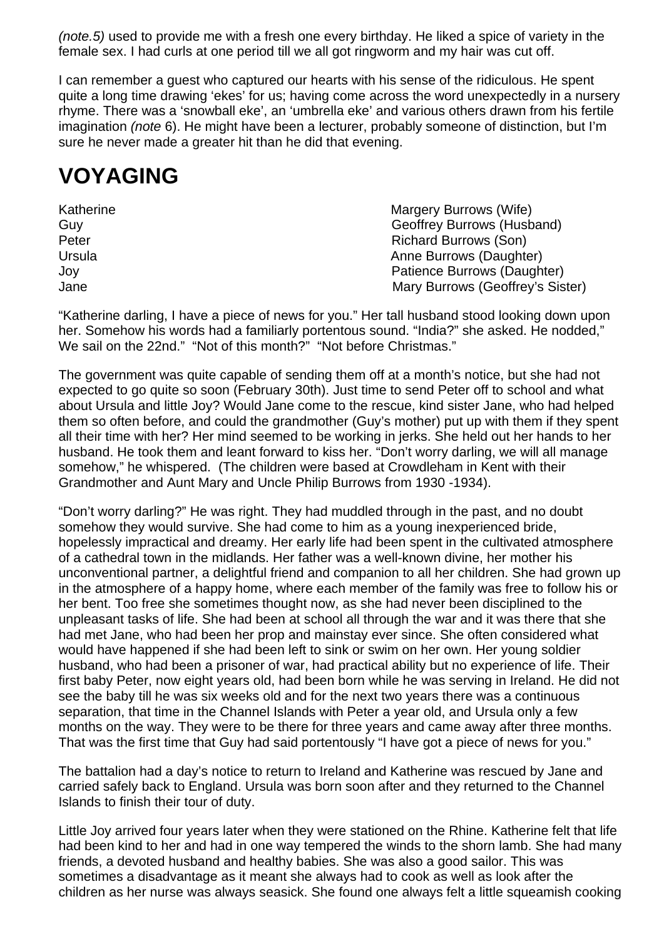*(note.5)* used to provide me with a fresh one every birthday. He liked a spice of variety in the female sex. I had curls at one period till we all got ringworm and my hair was cut off.

I can remember a guest who captured our hearts with his sense of the ridiculous. He spent quite a long time drawing 'ekes' for us; having come across the word unexpectedly in a nursery rhyme. There was a 'snowball eke', an 'umbrella eke' and various others drawn from his fertile imagination *(note* 6). He might have been a lecturer, probably someone of distinction, but I'm sure he never made a greater hit than he did that evening.

### **VOYAGING**

| Katherine | Margery Burrows (Wife)           |
|-----------|----------------------------------|
| Guy       | Geoffrey Burrows (Husband)       |
| Peter     | <b>Richard Burrows (Son)</b>     |
| Ursula    | Anne Burrows (Daughter)          |
| Joy       | Patience Burrows (Daughter)      |
| Jane      | Mary Burrows (Geoffrey's Sister) |

"Katherine darling, I have a piece of news for you." Her tall husband stood looking down upon her. Somehow his words had a familiarly portentous sound. "India?" she asked. He nodded," We sail on the 22nd." "Not of this month?" "Not before Christmas."

The government was quite capable of sending them off at a month's notice, but she had not expected to go quite so soon (February 30th). Just time to send Peter off to school and what about Ursula and little Joy? Would Jane come to the rescue, kind sister Jane, who had helped them so often before, and could the grandmother (Guy's mother) put up with them if they spent all their time with her? Her mind seemed to be working in jerks. She held out her hands to her husband. He took them and leant forward to kiss her. "Don't worry darling, we will all manage somehow," he whispered. (The children were based at Crowdleham in Kent with their Grandmother and Aunt Mary and Uncle Philip Burrows from 1930 -1934).

"Don't worry darling?" He was right. They had muddled through in the past, and no doubt somehow they would survive. She had come to him as a young inexperienced bride, hopelessly impractical and dreamy. Her early life had been spent in the cultivated atmosphere of a cathedral town in the midlands. Her father was a well-known divine, her mother his unconventional partner, a delightful friend and companion to all her children. She had grown up in the atmosphere of a happy home, where each member of the family was free to follow his or her bent. Too free she sometimes thought now, as she had never been disciplined to the unpleasant tasks of life. She had been at school all through the war and it was there that she had met Jane, who had been her prop and mainstay ever since. She often considered what would have happened if she had been left to sink or swim on her own. Her young soldier husband, who had been a prisoner of war, had practical ability but no experience of life. Their first baby Peter, now eight years old, had been born while he was serving in Ireland. He did not see the baby till he was six weeks old and for the next two years there was a continuous separation, that time in the Channel Islands with Peter a year old, and Ursula only a few months on the way. They were to be there for three years and came away after three months. That was the first time that Guy had said portentously "I have got a piece of news for you."

The battalion had a day's notice to return to Ireland and Katherine was rescued by Jane and carried safely back to England. Ursula was born soon after and they returned to the Channel Islands to finish their tour of duty.

Little Joy arrived four years later when they were stationed on the Rhine. Katherine felt that life had been kind to her and had in one way tempered the winds to the shorn lamb. She had many friends, a devoted husband and healthy babies. She was also a good sailor. This was sometimes a disadvantage as it meant she always had to cook as well as look after the children as her nurse was always seasick. She found one always felt a little squeamish cooking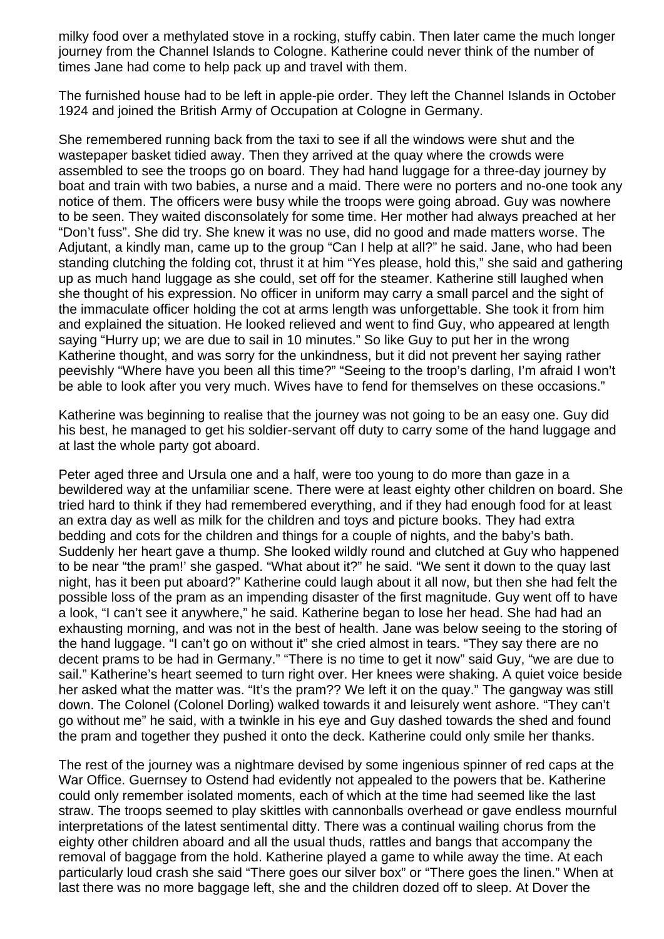milky food over a methylated stove in a rocking, stuffy cabin. Then later came the much longer journey from the Channel Islands to Cologne. Katherine could never think of the number of times Jane had come to help pack up and travel with them.

The furnished house had to be left in apple-pie order. They left the Channel Islands in October 1924 and joined the British Army of Occupation at Cologne in Germany.

She remembered running back from the taxi to see if all the windows were shut and the wastepaper basket tidied away. Then they arrived at the quay where the crowds were assembled to see the troops go on board. They had hand luggage for a three-day journey by boat and train with two babies, a nurse and a maid. There were no porters and no-one took any notice of them. The officers were busy while the troops were going abroad. Guy was nowhere to be seen. They waited disconsolately for some time. Her mother had always preached at her "Don't fuss". She did try. She knew it was no use, did no good and made matters worse. The Adjutant, a kindly man, came up to the group "Can I help at all?" he said. Jane, who had been standing clutching the folding cot, thrust it at him "Yes please, hold this," she said and gathering up as much hand luggage as she could, set off for the steamer. Katherine still laughed when she thought of his expression. No officer in uniform may carry a small parcel and the sight of the immaculate officer holding the cot at arms length was unforgettable. She took it from him and explained the situation. He looked relieved and went to find Guy, who appeared at length saying "Hurry up; we are due to sail in 10 minutes." So like Guy to put her in the wrong Katherine thought, and was sorry for the unkindness, but it did not prevent her saying rather peevishly "Where have you been all this time?" "Seeing to the troop's darling, I'm afraid I won't be able to look after you very much. Wives have to fend for themselves on these occasions."

Katherine was beginning to realise that the journey was not going to be an easy one. Guy did his best, he managed to get his soldier-servant off duty to carry some of the hand luggage and at last the whole party got aboard.

Peter aged three and Ursula one and a half, were too young to do more than gaze in a bewildered way at the unfamiliar scene. There were at least eighty other children on board. She tried hard to think if they had remembered everything, and if they had enough food for at least an extra day as well as milk for the children and toys and picture books. They had extra bedding and cots for the children and things for a couple of nights, and the baby's bath. Suddenly her heart gave a thump. She looked wildly round and clutched at Guy who happened to be near "the pram!' she gasped. "What about it?" he said. "We sent it down to the quay last night, has it been put aboard?" Katherine could laugh about it all now, but then she had felt the possible loss of the pram as an impending disaster of the first magnitude. Guy went off to have a look, "I can't see it anywhere," he said. Katherine began to lose her head. She had had an exhausting morning, and was not in the best of health. Jane was below seeing to the storing of the hand luggage. "I can't go on without it" she cried almost in tears. "They say there are no decent prams to be had in Germany." "There is no time to get it now" said Guy, "we are due to sail." Katherine's heart seemed to turn right over. Her knees were shaking. A quiet voice beside her asked what the matter was. "It's the pram?? We left it on the quay." The gangway was still down. The Colonel (Colonel Dorling) walked towards it and leisurely went ashore. "They can't go without me" he said, with a twinkle in his eye and Guy dashed towards the shed and found the pram and together they pushed it onto the deck. Katherine could only smile her thanks.

The rest of the journey was a nightmare devised by some ingenious spinner of red caps at the War Office. Guernsey to Ostend had evidently not appealed to the powers that be. Katherine could only remember isolated moments, each of which at the time had seemed like the last straw. The troops seemed to play skittles with cannonballs overhead or gave endless mournful interpretations of the latest sentimental ditty. There was a continual wailing chorus from the eighty other children aboard and all the usual thuds, rattles and bangs that accompany the removal of baggage from the hold. Katherine played a game to while away the time. At each particularly loud crash she said "There goes our silver box" or "There goes the linen." When at last there was no more baggage left, she and the children dozed off to sleep. At Dover the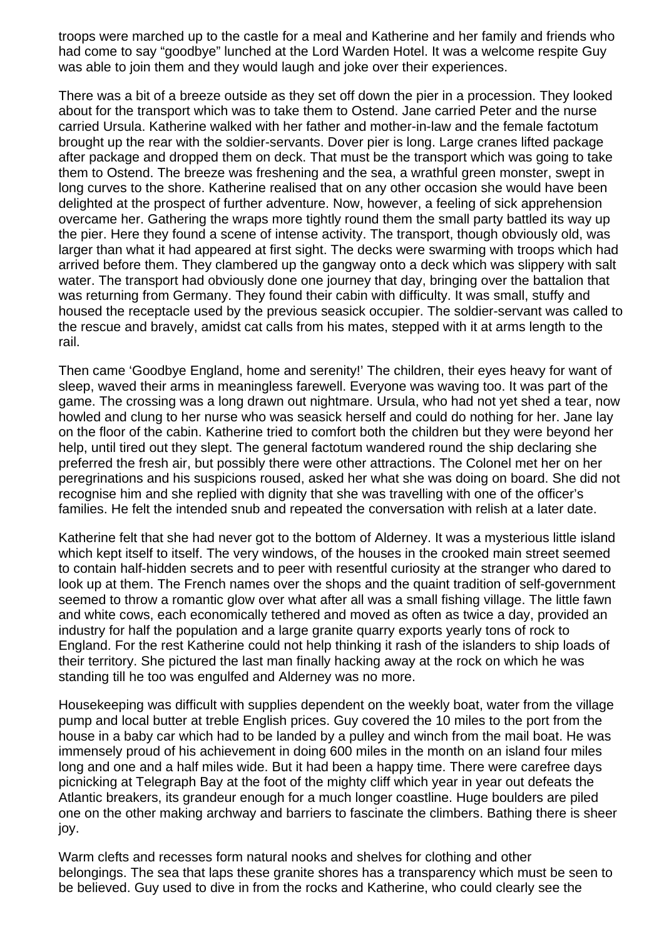troops were marched up to the castle for a meal and Katherine and her family and friends who had come to say "goodbye" lunched at the Lord Warden Hotel. It was a welcome respite Guy was able to join them and they would laugh and joke over their experiences.

There was a bit of a breeze outside as they set off down the pier in a procession. They looked about for the transport which was to take them to Ostend. Jane carried Peter and the nurse carried Ursula. Katherine walked with her father and mother-in-law and the female factotum brought up the rear with the soldier-servants. Dover pier is long. Large cranes lifted package after package and dropped them on deck. That must be the transport which was going to take them to Ostend. The breeze was freshening and the sea, a wrathful green monster, swept in long curves to the shore. Katherine realised that on any other occasion she would have been delighted at the prospect of further adventure. Now, however, a feeling of sick apprehension overcame her. Gathering the wraps more tightly round them the small party battled its way up the pier. Here they found a scene of intense activity. The transport, though obviously old, was larger than what it had appeared at first sight. The decks were swarming with troops which had arrived before them. They clambered up the gangway onto a deck which was slippery with salt water. The transport had obviously done one journey that day, bringing over the battalion that was returning from Germany. They found their cabin with difficulty. It was small, stuffy and housed the receptacle used by the previous seasick occupier. The soldier-servant was called to the rescue and bravely, amidst cat calls from his mates, stepped with it at arms length to the rail.

Then came 'Goodbye England, home and serenity!' The children, their eyes heavy for want of sleep, waved their arms in meaningless farewell. Everyone was waving too. It was part of the game. The crossing was a long drawn out nightmare. Ursula, who had not yet shed a tear, now howled and clung to her nurse who was seasick herself and could do nothing for her. Jane lay on the floor of the cabin. Katherine tried to comfort both the children but they were beyond her help, until tired out they slept. The general factotum wandered round the ship declaring she preferred the fresh air, but possibly there were other attractions. The Colonel met her on her peregrinations and his suspicions roused, asked her what she was doing on board. She did not recognise him and she replied with dignity that she was travelling with one of the officer's families. He felt the intended snub and repeated the conversation with relish at a later date.

Katherine felt that she had never got to the bottom of Alderney. It was a mysterious little island which kept itself to itself. The very windows, of the houses in the crooked main street seemed to contain half-hidden secrets and to peer with resentful curiosity at the stranger who dared to look up at them. The French names over the shops and the quaint tradition of self-government seemed to throw a romantic glow over what after all was a small fishing village. The little fawn and white cows, each economically tethered and moved as often as twice a day, provided an industry for half the population and a large granite quarry exports yearly tons of rock to England. For the rest Katherine could not help thinking it rash of the islanders to ship loads of their territory. She pictured the last man finally hacking away at the rock on which he was standing till he too was engulfed and Alderney was no more.

Housekeeping was difficult with supplies dependent on the weekly boat, water from the village pump and local butter at treble English prices. Guy covered the 10 miles to the port from the house in a baby car which had to be landed by a pulley and winch from the mail boat. He was immensely proud of his achievement in doing 600 miles in the month on an island four miles long and one and a half miles wide. But it had been a happy time. There were carefree days picnicking at Telegraph Bay at the foot of the mighty cliff which year in year out defeats the Atlantic breakers, its grandeur enough for a much longer coastline. Huge boulders are piled one on the other making archway and barriers to fascinate the climbers. Bathing there is sheer joy.

Warm clefts and recesses form natural nooks and shelves for clothing and other belongings. The sea that laps these granite shores has a transparency which must be seen to be believed. Guy used to dive in from the rocks and Katherine, who could clearly see the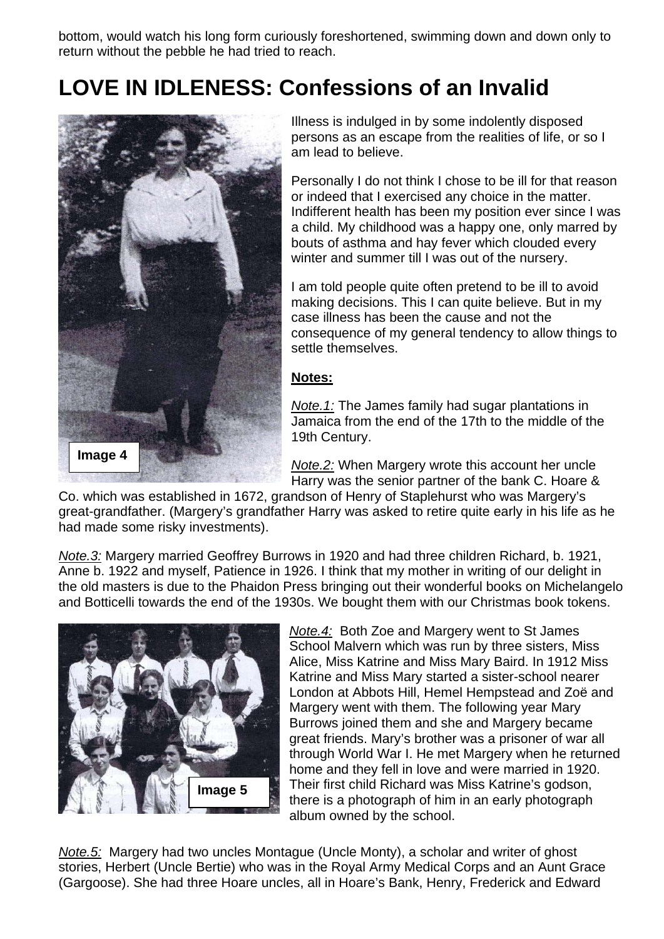bottom, would watch his long form curiously foreshortened, swimming down and down only to return without the pebble he had tried to reach.

## **LOVE IN IDLENESS: Confessions of an Invalid**



Illness is indulged in by some indolently disposed persons as an escape from the realities of life, or so I am lead to believe.

Personally I do not think I chose to be ill for that reason or indeed that I exercised any choice in the matter. Indifferent health has been my position ever since I was a child. My childhood was a happy one, only marred by bouts of asthma and hay fever which clouded every winter and summer till I was out of the nursery.

I am told people quite often pretend to be ill to avoid making decisions. This I can quite believe. But in my case illness has been the cause and not the consequence of my general tendency to allow things to settle themselves.

#### **Notes:**

*Note.1:* The James family had sugar plantations in Jamaica from the end of the 17th to the middle of the 19th Century.

Harry was the senior partner of the bank C. Hoare &

Co. which was established in 1672, grandson of Henry of Staplehurst who was Margery's great-grandfather. (Margery's grandfather Harry was asked to retire quite early in his life as he had made some risky investments).

*Note.3:* Margery married Geoffrey Burrows in 1920 and had three children Richard, b. 1921, Anne b. 1922 and myself, Patience in 1926. I think that my mother in writing of our delight in the old masters is due to the Phaidon Press bringing out their wonderful books on Michelangelo and Botticelli towards the end of the 1930s. We bought them with our Christmas book tokens.



*Note.4:* Both Zoe and Margery went to St James School Malvern which was run by three sisters, Miss Alice, Miss Katrine and Miss Mary Baird. In 1912 Miss Katrine and Miss Mary started a sister-school nearer London at Abbots Hill, Hemel Hempstead and Zoë and Margery went with them. The following year Mary Burrows joined them and she and Margery became great friends. Mary's brother was a prisoner of war all through World War I. He met Margery when he returned home and they fell in love and were married in 1920. Their first child Richard was Miss Katrine's godson, there is a photograph of him in an early photograph album owned by the school.

*Note.5:* Margery had two uncles Montague (Uncle Monty), a scholar and writer of ghost stories, Herbert (Uncle Bertie) who was in the Royal Army Medical Corps and an Aunt Grace (Gargoose). She had three Hoare uncles, all in Hoare's Bank, Henry, Frederick and Edward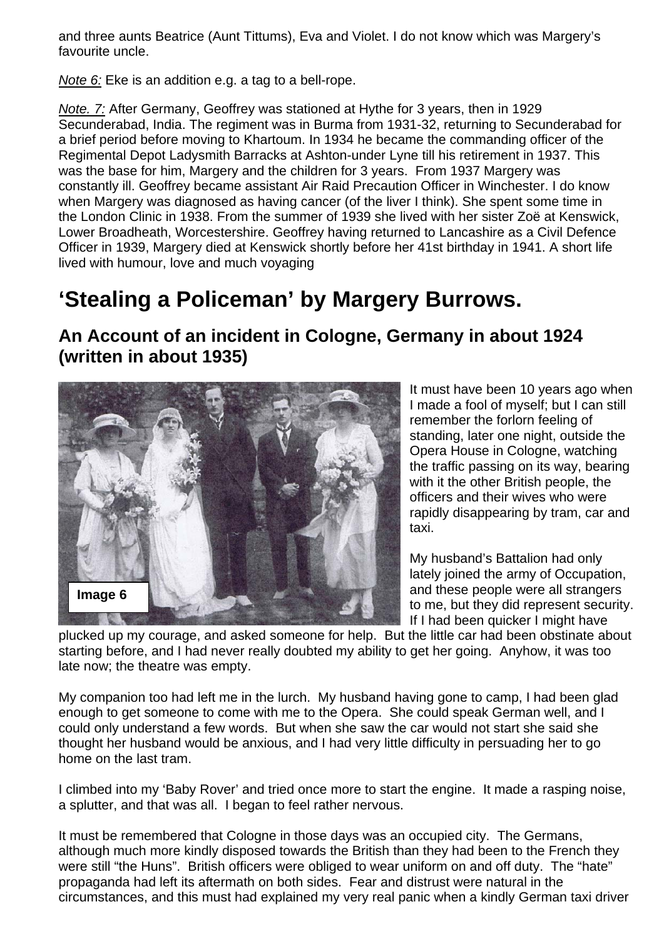and three aunts Beatrice (Aunt Tittums), Eva and Violet. I do not know which was Margery's favourite uncle.

*Note 6:* Eke is an addition e.g. a tag to a bell-rope.

*Note. 7:* After Germany, Geoffrey was stationed at Hythe for 3 years, then in 1929 Secunderabad, India. The regiment was in Burma from 1931-32, returning to Secunderabad for a brief period before moving to Khartoum. In 1934 he became the commanding officer of the Regimental Depot Ladysmith Barracks at Ashton-under Lyne till his retirement in 1937. This was the base for him, Margery and the children for 3 years. From 1937 Margery was constantly ill. Geoffrey became assistant Air Raid Precaution Officer in Winchester. I do know when Margery was diagnosed as having cancer (of the liver I think). She spent some time in the London Clinic in 1938. From the summer of 1939 she lived with her sister Zoë at Kenswick, Lower Broadheath, Worcestershire. Geoffrey having returned to Lancashire as a Civil Defence Officer in 1939, Margery died at Kenswick shortly before her 41st birthday in 1941. A short life lived with humour, love and much voyaging

### **'Stealing a Policeman' by Margery Burrows.**

**An Account of an incident in Cologne, Germany in about 1924 (written in about 1935)** 



It must have been 10 years ago when I made a fool of myself; but I can still remember the forlorn feeling of standing, later one night, outside the Opera House in Cologne, watching the traffic passing on its way, bearing with it the other British people, the officers and their wives who were rapidly disappearing by tram, car and taxi.

My husband's Battalion had only lately joined the army of Occupation, and these people were all strangers to me, but they did represent security. If I had been quicker I might have

plucked up my courage, and asked someone for help. But the little car had been obstinate about starting before, and I had never really doubted my ability to get her going. Anyhow, it was too late now; the theatre was empty.

My companion too had left me in the lurch. My husband having gone to camp, I had been glad enough to get someone to come with me to the Opera. She could speak German well, and I could only understand a few words. But when she saw the car would not start she said she thought her husband would be anxious, and I had very little difficulty in persuading her to go home on the last tram.

I climbed into my 'Baby Rover' and tried once more to start the engine. It made a rasping noise, a splutter, and that was all. I began to feel rather nervous.

It must be remembered that Cologne in those days was an occupied city. The Germans, although much more kindly disposed towards the British than they had been to the French they were still "the Huns". British officers were obliged to wear uniform on and off duty. The "hate" propaganda had left its aftermath on both sides. Fear and distrust were natural in the circumstances, and this must had explained my very real panic when a kindly German taxi driver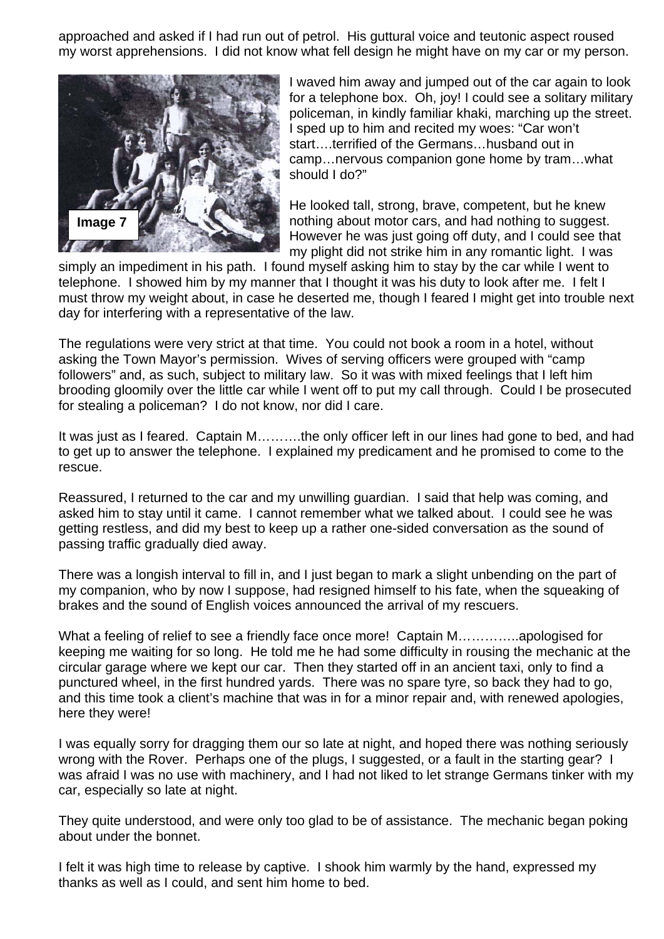approached and asked if I had run out of petrol. His guttural voice and teutonic aspect roused my worst apprehensions. I did not know what fell design he might have on my car or my person.



I waved him away and jumped out of the car again to look for a telephone box. Oh, joy! I could see a solitary military policeman, in kindly familiar khaki, marching up the street. I sped up to him and recited my woes: "Car won't start….terrified of the Germans…husband out in camp…nervous companion gone home by tram…what should I do?"

He looked tall, strong, brave, competent, but he knew nothing about motor cars, and had nothing to suggest. However he was just going off duty, and I could see that my plight did not strike him in any romantic light. I was

simply an impediment in his path. I found myself asking him to stay by the car while I went to telephone. I showed him by my manner that I thought it was his duty to look after me. I felt I must throw my weight about, in case he deserted me, though I feared I might get into trouble next day for interfering with a representative of the law.

The regulations were very strict at that time. You could not book a room in a hotel, without asking the Town Mayor's permission. Wives of serving officers were grouped with "camp followers" and, as such, subject to military law. So it was with mixed feelings that I left him brooding gloomily over the little car while I went off to put my call through. Could I be prosecuted for stealing a policeman? I do not know, nor did I care.

It was just as I feared. Captain M……….the only officer left in our lines had gone to bed, and had to get up to answer the telephone. I explained my predicament and he promised to come to the rescue.

Reassured, I returned to the car and my unwilling guardian. I said that help was coming, and asked him to stay until it came. I cannot remember what we talked about. I could see he was getting restless, and did my best to keep up a rather one-sided conversation as the sound of passing traffic gradually died away.

There was a longish interval to fill in, and I just began to mark a slight unbending on the part of my companion, who by now I suppose, had resigned himself to his fate, when the squeaking of brakes and the sound of English voices announced the arrival of my rescuers.

What a feeling of relief to see a friendly face once more! Captain M…………..apologised for keeping me waiting for so long. He told me he had some difficulty in rousing the mechanic at the circular garage where we kept our car. Then they started off in an ancient taxi, only to find a punctured wheel, in the first hundred yards. There was no spare tyre, so back they had to go, and this time took a client's machine that was in for a minor repair and, with renewed apologies, here they were!

I was equally sorry for dragging them our so late at night, and hoped there was nothing seriously wrong with the Rover. Perhaps one of the plugs, I suggested, or a fault in the starting gear? I was afraid I was no use with machinery, and I had not liked to let strange Germans tinker with my car, especially so late at night.

They quite understood, and were only too glad to be of assistance. The mechanic began poking about under the bonnet.

I felt it was high time to release by captive. I shook him warmly by the hand, expressed my thanks as well as I could, and sent him home to bed.